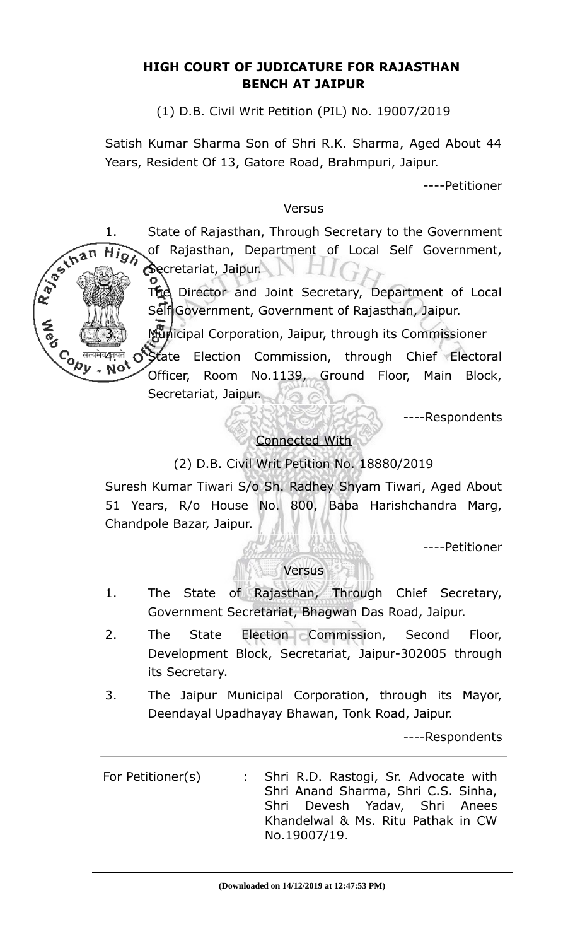# **HIGH COURT OF JUDICATURE FOR RAJASTHAN BENCH AT JAIPUR**

(1) D.B. Civil Writ Petition (PIL) No. 19007/2019

Satish Kumar Sharma Son of Shri R.K. Sharma, Aged About 44 Years, Resident Of 13, Gatore Road, Brahmpuri, Jaipur.

----Petitioner

### Versus

1. State of Rajasthan, Through Secretary to the Government Hig) of Rajasthan, Department of Local Self Government, Secretariat, Jaipur. NH

R. B. Inan

The Director and Joint Secretary, Department of Local Self Government, Government of Rajasthan, Jaipur.

3. Municipal Corporation, Jaipur, through its Commissioner

Conter of State Election Commission, through Chief Electoral<br>Not also created began No. 1139 Ground Floor, Main Block, Officer, Room No.1139, Ground Floor, Main Block, Secretariat, Jaipur.

----Respondents

# Connected With

# (2) D.B. Civil Writ Petition No. 18880/2019

Suresh Kumar Tiwari S/o Sh. Radhey Shyam Tiwari, Aged About 51 Years, R/o House No. 800, Baba Harishchandra Marg, Chandpole Bazar, Jaipur.

----Petitioner

### Versus

- 1. The State of Rajasthan, Through Chief Secretary, Government Secretariat, Bhagwan Das Road, Jaipur.
- 2. The State Election Commission, Second Floor, Development Block, Secretariat, Jaipur-302005 through its Secretary.
- 3. The Jaipur Municipal Corporation, through its Mayor, Deendayal Upadhayay Bhawan, Tonk Road, Jaipur.

----Respondents

For Petitioner(s) : Shri R.D. Rastogi, Sr. Advocate with Shri Anand Sharma, Shri C.S. Sinha, Shri Devesh Yadav, Shri Anees Khandelwal & Ms. Ritu Pathak in CW No.19007/19.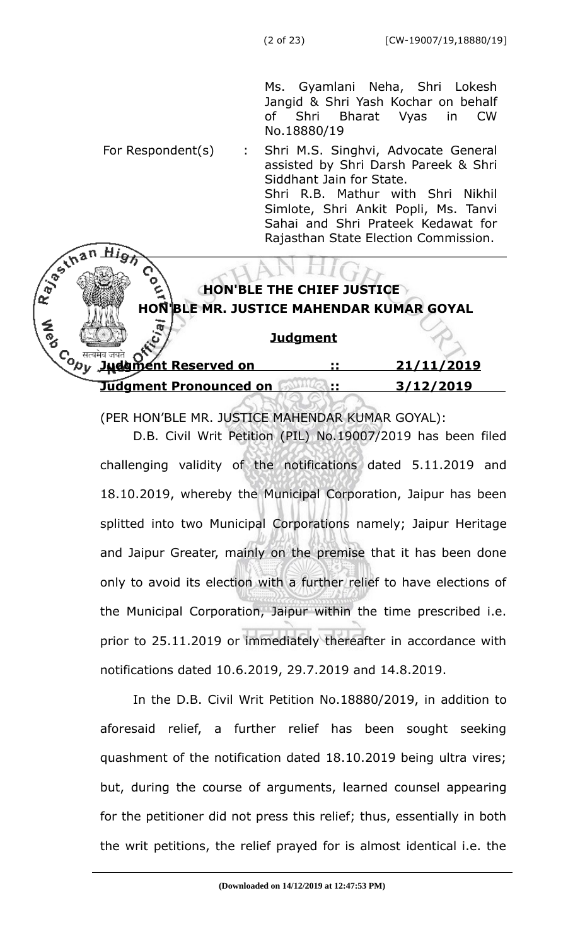Ms. Gyamlani Neha, Shri Lokesh Jangid & Shri Yash Kochar on behalf of Shri Bharat Vyas in CW No.18880/19

For Respondent(s) : Shri M.S. Singhvi, Advocate General assisted by Shri Darsh Pareek & Shri Siddhant Jain for State. Shri R.B. Mathur with Shri Nikhil Simlote, Shri Ankit Popli, Ms. Tanvi Sahai and Shri Prateek Kedawat for R. Bestinan Rajasthan State Election Commission.

# **HON'BLE THE CHIEF JUSTICE HON'BLE MR. JUSTICE MAHENDAR KUMAR GOYAL**

### **Judgment**

 **Judgment Reserved on :: 21/11/2019 Judgment Pronounced on <b>1999** :: 3/12/2019

(PER HON'BLE MR. JUSTICE MAHENDAR KUMAR GOYAL):

D.B. Civil Writ Petition (PIL) No.19007/2019 has been filed challenging validity of the notifications dated 5.11.2019 and 18.10.2019, whereby the Municipal Corporation, Jaipur has been splitted into two Municipal Corporations namely; Jaipur Heritage and Jaipur Greater, mainly on the premise that it has been done only to avoid its election with a further relief to have elections of the Municipal Corporation, Jaipur within the time prescribed i.e. prior to 25.11.2019 or immediately thereafter in accordance with notifications dated 10.6.2019, 29.7.2019 and 14.8.2019.

In the D.B. Civil Writ Petition No.18880/2019, in addition to aforesaid relief, a further relief has been sought seeking quashment of the notification dated 18.10.2019 being ultra vires; but, during the course of arguments, learned counsel appearing for the petitioner did not press this relief; thus, essentially in both the writ petitions, the relief prayed for is almost identical i.e. the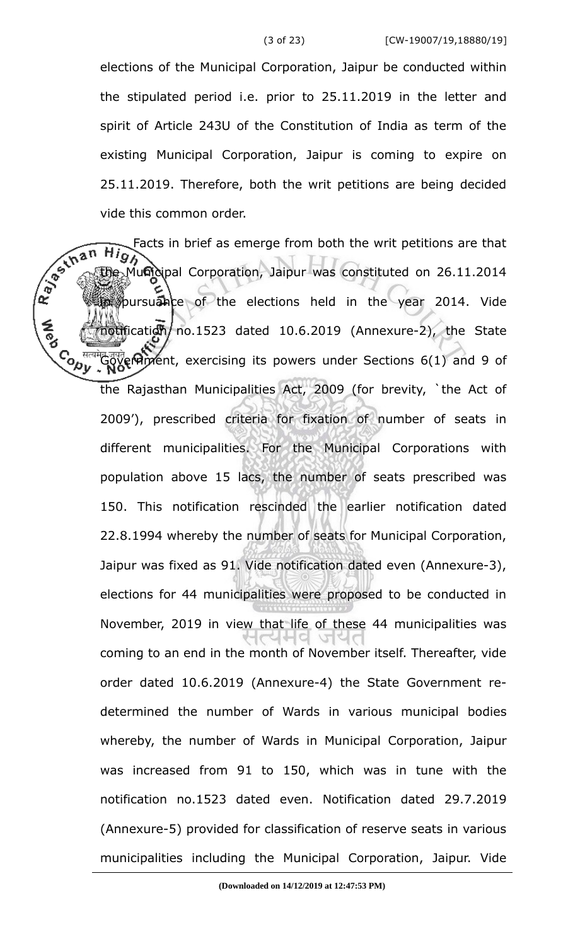elections of the Municipal Corporation, Jaipur be conducted within the stipulated period i.e. prior to 25.11.2019 in the letter and spirit of Article 243U of the Constitution of India as term of the existing Municipal Corporation, Jaipur is coming to expire on 25.11.2019. Therefore, both the writ petitions are being decided vide this common order.

the Municipal Corporation, Jaipur was constituted on 26.11.2014 Facts in brief as emerge from both the writ petitions are that  $\overline{H}$ pursuance of the elections held in the year 2014. Vide  $\frac{1}{10}$  motification no.1523 dated 10.6.2019 (Annexure-2), the State **Control** मेड जुबते (प्रोग्रह्म Resercising its powers under Sections 6(1) and 9 of the Rajasthan Municipalities Act, 2009 (for brevity, `the Act of 2009'), prescribed criteria for fixation of number of seats in different municipalities. For the Municipal Corporations with population above 15 lacs, the number of seats prescribed was 150. This notification rescinded the earlier notification dated 22.8.1994 whereby the number of seats for Municipal Corporation, Jaipur was fixed as 91. Vide notification dated even (Annexure-3), elections for 44 municipalities were proposed to be conducted in November, 2019 in view that life of these 44 municipalities was coming to an end in the month of November itself. Thereafter, vide order dated 10.6.2019 (Annexure-4) the State Government redetermined the number of Wards in various municipal bodies whereby, the number of Wards in Municipal Corporation, Jaipur was increased from 91 to 150, which was in tune with the notification no.1523 dated even. Notification dated 29.7.2019 (Annexure-5) provided for classification of reserve seats in various municipalities including the Municipal Corporation, Jaipur. Vide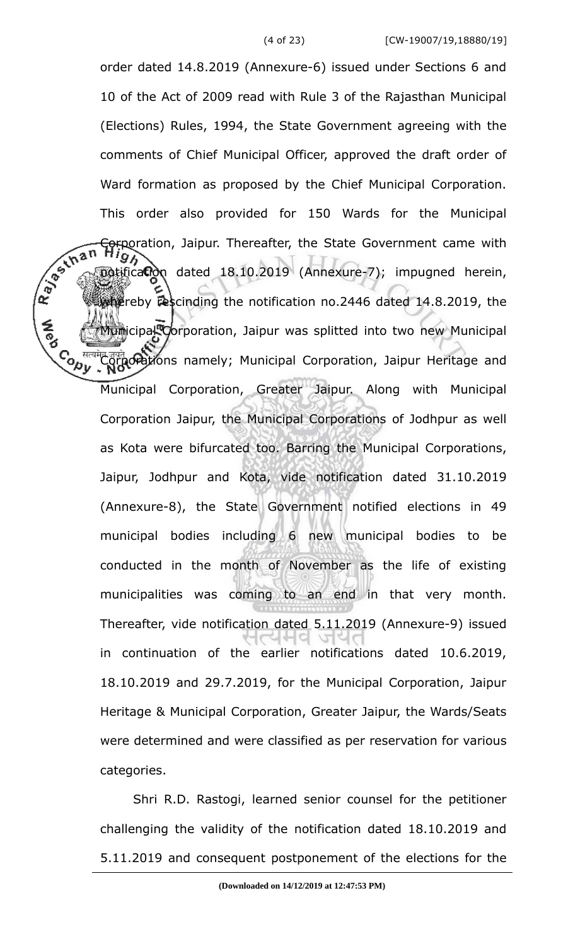order dated 14.8.2019 (Annexure-6) issued under Sections 6 and 10 of the Act of 2009 read with Rule 3 of the Rajasthan Municipal (Elections) Rules, 1994, the State Government agreeing with the comments of Chief Municipal Officer, approved the draft order of Ward formation as proposed by the Chief Municipal Corporation. This order also provided for 150 Wards for the Municipal R BS LINES **Corporation, Jaipur. Thereafter, the State Government came with**  $Hig$ potification dated 18.10.2019 (Annexure-7); impugned herein, whereby rescinding the notification no.2446 dated 14.8.2019, the Municipal Corporation, Jaipur was splitted into two new Municipal **Cody** मेर जुमते **Grations** namely; Municipal Corporation, Jaipur Heritage and Municipal Corporation, Greater Jaipur. Along with Municipal Corporation Jaipur, the Municipal Corporations of Jodhpur as well as Kota were bifurcated too. Barring the Municipal Corporations, Jaipur, Jodhpur and Kota, vide notification dated 31.10.2019 (Annexure-8), the State Government notified elections in 49 municipal bodies including 6 new municipal bodies to be conducted in the month of November as the life of existing municipalities was coming to an end in that very month. Thereafter, vide notification dated 5.11.2019 (Annexure-9) issued in continuation of the earlier notifications dated 10.6.2019, 18.10.2019 and 29.7.2019, for the Municipal Corporation, Jaipur Heritage & Municipal Corporation, Greater Jaipur, the Wards/Seats were determined and were classified as per reservation for various categories.

> Shri R.D. Rastogi, learned senior counsel for the petitioner challenging the validity of the notification dated 18.10.2019 and 5.11.2019 and consequent postponement of the elections for the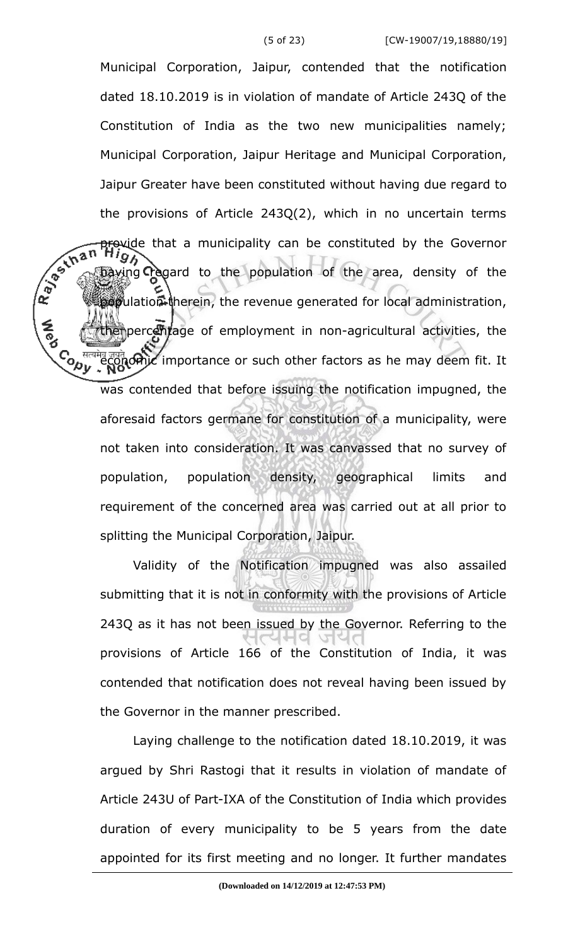Municipal Corporation, Jaipur, contended that the notification dated 18.10.2019 is in violation of mandate of Article 243Q of the Constitution of India as the two new municipalities namely; Municipal Corporation, Jaipur Heritage and Municipal Corporation, Jaipur Greater have been constituted without having due regard to the provisions of Article 243Q(2), which in no uncertain terms R. Januar provide that a municipality can be constituted by the Governor wing **T**egard to the population of the area, density of the population therein, the revenue generated for local administration, the percentage of employment in non-agricultural activities, the **Contract** मेर जुबते **अनोट** importance or such other factors as he may deem fit. It was contended that before issuing the notification impugned, the aforesaid factors germane for constitution of a municipality, were not taken into consideration. It was canvassed that no survey of population, population density, geographical limits and requirement of the concerned area was carried out at all prior to splitting the Municipal Corporation, Jaipur.

> Validity of the Notification impugned was also assailed submitting that it is not in conformity with the provisions of Article 243Q as it has not been issued by the Governor. Referring to the provisions of Article 166 of the Constitution of India, it was contended that notification does not reveal having been issued by the Governor in the manner prescribed.

> Laying challenge to the notification dated 18.10.2019, it was argued by Shri Rastogi that it results in violation of mandate of Article 243U of Part-IXA of the Constitution of India which provides duration of every municipality to be 5 years from the date appointed for its first meeting and no longer. It further mandates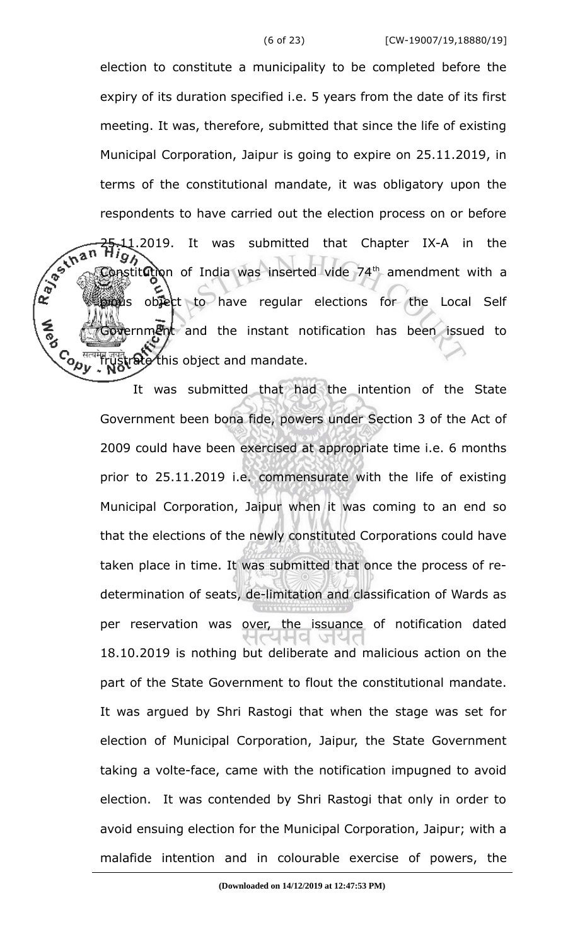election to constitute a municipality to be completed before the expiry of its duration specified i.e. 5 years from the date of its first meeting. It was, therefore, submitted that since the life of existing Municipal Corporation, Jaipur is going to expire on 25.11.2019, in terms of the constitutional mandate, it was obligatory upon the respondents to have carried out the election process on or before R BS LINES 11.2019. It was submitted that Chapter IX-A in the 97 onstitution of India was inserted vide 74<sup>th</sup> amendment with a provided to have regular elections for the Local Self Government and the instant notification has been issued to **Control** frustrate this object and mandate.

> It was submitted that had the intention of the State Government been bona fide, powers under Section 3 of the Act of 2009 could have been exercised at appropriate time i.e. 6 months prior to 25.11.2019 i.e. commensurate with the life of existing Municipal Corporation, Jaipur when it was coming to an end so that the elections of the newly constituted Corporations could have taken place in time. It was submitted that once the process of redetermination of seats, de-limitation and classification of Wards as per reservation was over, the issuance of notification dated 18.10.2019 is nothing but deliberate and malicious action on the part of the State Government to flout the constitutional mandate. It was argued by Shri Rastogi that when the stage was set for election of Municipal Corporation, Jaipur, the State Government taking a volte-face, came with the notification impugned to avoid election. It was contended by Shri Rastogi that only in order to avoid ensuing election for the Municipal Corporation, Jaipur; with a malafide intention and in colourable exercise of powers, the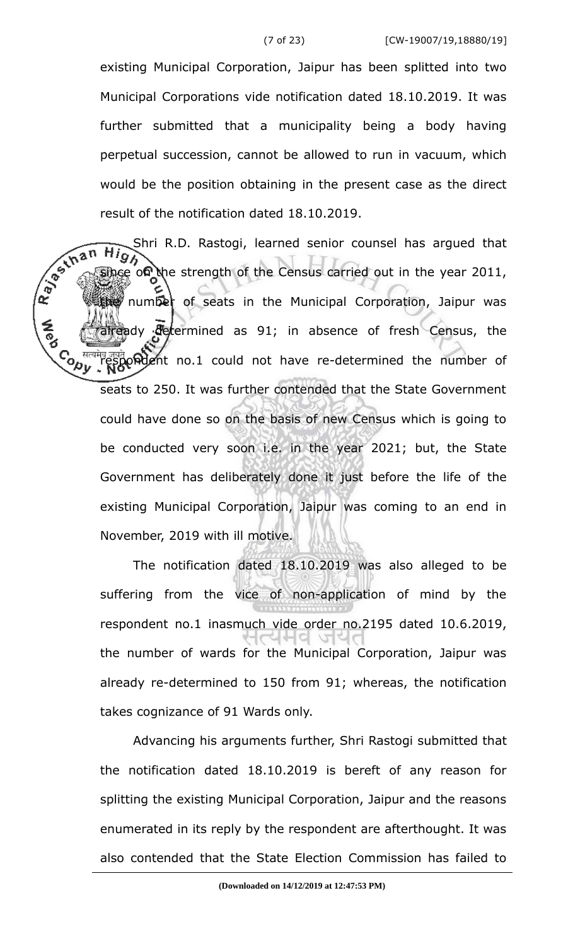existing Municipal Corporation, Jaipur has been splitted into two Municipal Corporations vide notification dated 18.10.2019. It was further submitted that a municipality being a body having perpetual succession, cannot be allowed to run in vacuum, which would be the position obtaining in the present case as the direct result of the notification dated 18.10.2019.

R. Bechan Shri R.D. Rastogi, learned senior counsel has argued that on the strength of the Census carried out in the year 2011, the number of seats in the Municipal Corporation, Jaipur was already determined as 91; in absence of fresh Census, the Control मेद जुबते **अपने होते हों।** Tespondent no.1 could not have re-determined the number of seats to 250. It was further contended that the State Government could have done so on the basis of new Census which is going to be conducted very soon i.e. in the year 2021; but, the State Government has deliberately done it just before the life of the existing Municipal Corporation, Jaipur was coming to an end in November, 2019 with ill motive.

> The notification dated 18.10.2019 was also alleged to be suffering from the vice of non-application of mind by the respondent no.1 inasmuch vide order no.2195 dated 10.6.2019, the number of wards for the Municipal Corporation, Jaipur was already re-determined to 150 from 91; whereas, the notification takes cognizance of 91 Wards only.

> Advancing his arguments further, Shri Rastogi submitted that the notification dated 18.10.2019 is bereft of any reason for splitting the existing Municipal Corporation, Jaipur and the reasons enumerated in its reply by the respondent are afterthought. It was also contended that the State Election Commission has failed to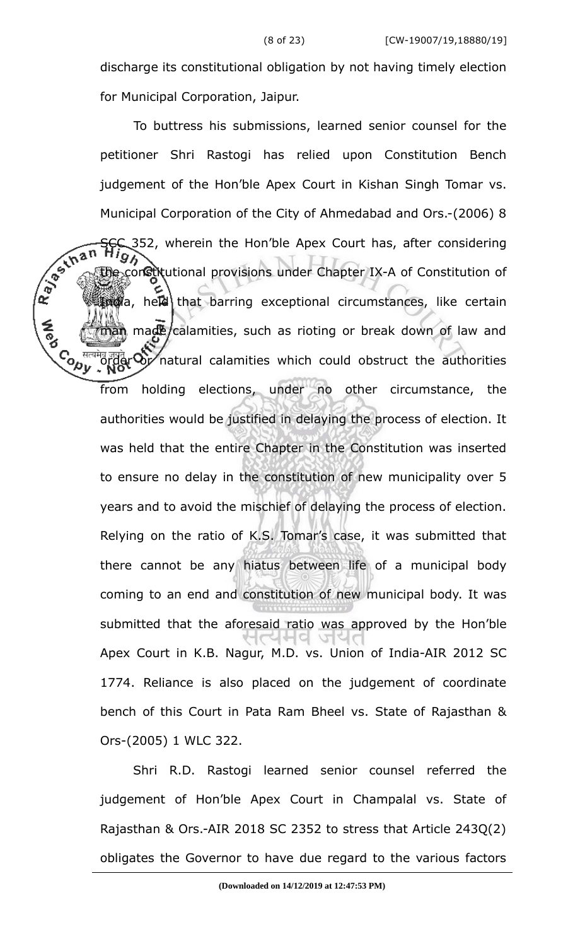discharge its constitutional obligation by not having timely election for Municipal Corporation, Jaipur.

To buttress his submissions, learned senior counsel for the petitioner Shri Rastogi has relied upon Constitution Bench judgement of the Hon'ble Apex Court in Kishan Singh Tomar vs. Municipal Corporation of the City of Ahmedabad and Ors.-(2006) 8  $x^2 + 2\pi R$  High<br>
The constitutional provisions under Chapter IX-A of Considering<br>  $x^2 + 2\pi R$  The constitutional provisions under Chapter IX-A of Considering<br>  $x^2 + 2\pi R$  The considering the constitutional provisions under Chapter IX-A of Constitution of  $\mathbb{R}$  a, held that barring exceptional circumstances, like certain man made/calamities, such as rioting or break down of law and **Cody Forder Or** natural calamities which could obstruct the authorities from holding elections, under no other circumstance, the authorities would be justified in delaying the process of election. It was held that the entire Chapter in the Constitution was inserted to ensure no delay in the constitution of new municipality over 5 years and to avoid the mischief of delaying the process of election. Relying on the ratio of K.S. Tomar's case, it was submitted that there cannot be any hiatus between life of a municipal body coming to an end and constitution of new municipal body. It was submitted that the aforesaid ratio was approved by the Hon'ble Apex Court in K.B. Nagur, M.D. vs. Union of India-AIR 2012 SC 1774. Reliance is also placed on the judgement of coordinate bench of this Court in Pata Ram Bheel vs. State of Rajasthan & Ors-(2005) 1 WLC 322.

> Shri R.D. Rastogi learned senior counsel referred the judgement of Hon'ble Apex Court in Champalal vs. State of Rajasthan & Ors.-AIR 2018 SC 2352 to stress that Article 243Q(2) obligates the Governor to have due regard to the various factors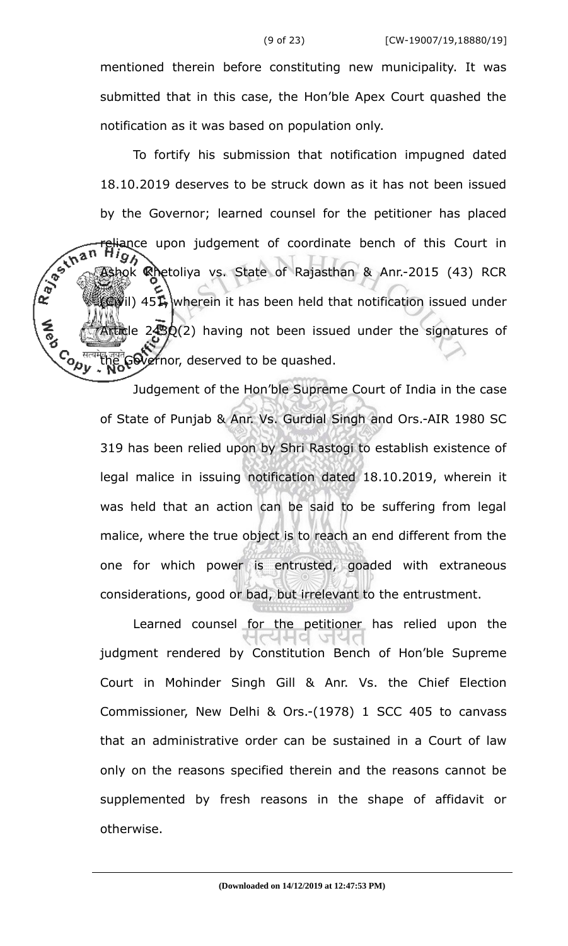mentioned therein before constituting new municipality. It was submitted that in this case, the Hon'ble Apex Court quashed the notification as it was based on population only.

To fortify his submission that notification impugned dated 18.10.2019 deserves to be struck down as it has not been issued by the Governor; learned counsel for the petitioner has placed R. Bertan eliance upon judgement of coordinate bench of this Court in shok Rhetoliya vs. State of Rajasthan & Anr.-2015 (43) RCR  $\mathbb{C}(V)$  451, wherein it has been held that notification issued under Article 243Q(2) having not been issued under the signatures of ے<br>∕رمي the Governor, deserved to be quashed.

> Judgement of the Hon'ble Supreme Court of India in the case of State of Punjab & Anr. Vs. Gurdial Singh and Ors.-AIR 1980 SC 319 has been relied upon by Shri Rastogi to establish existence of legal malice in issuing notification dated 18.10.2019, wherein it was held that an action can be said to be suffering from legal malice, where the true object is to reach an end different from the one for which power is entrusted, goaded with extraneous considerations, good or bad, but irrelevant to the entrustment.

> Learned counsel for the petitioner has relied upon the judgment rendered by Constitution Bench of Hon'ble Supreme Court in Mohinder Singh Gill & Anr. Vs. the Chief Election Commissioner, New Delhi & Ors.-(1978) 1 SCC 405 to canvass that an administrative order can be sustained in a Court of law only on the reasons specified therein and the reasons cannot be supplemented by fresh reasons in the shape of affidavit or otherwise.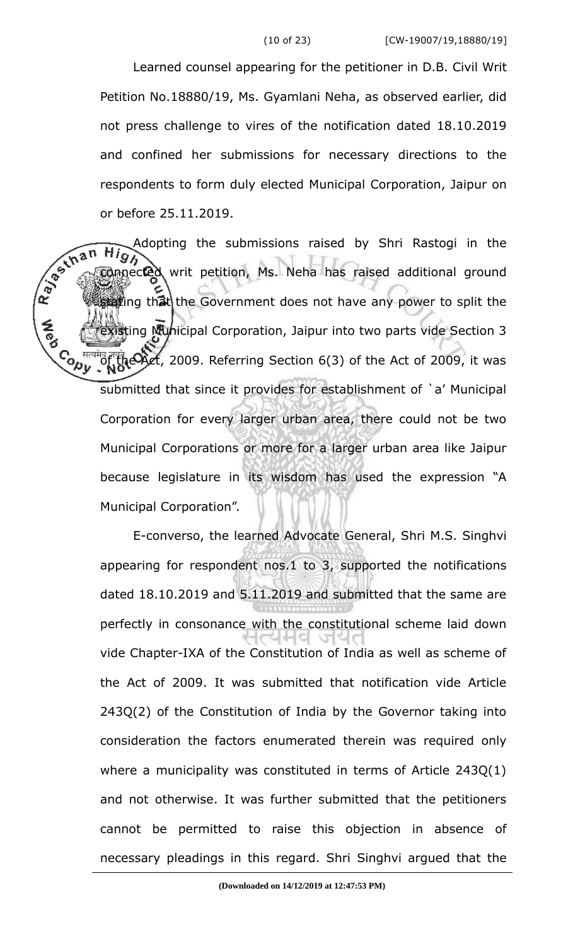Learned counsel appearing for the petitioner in D.B. Civil Writ Petition No.18880/19, Ms. Gyamlani Neha, as observed earlier, did not press challenge to vires of the notification dated 18.10.2019 and confined her submissions for necessary directions to the respondents to form duly elected Municipal Corporation, Jaipur on or before 25.11.2019.

connected writ petition, Ms. Neha has raised additional ground of the connected writ petition, Ms. Neha has raised additional ground Adopting the submissions raised by Shri Rastogi in the  $\overline{H}$ that in that the Government does not have any power to split the existing Municipal Corporation, Jaipur into two parts vide Section 3 **<u><br>Copy</u>**  $^{43}$ <sub>G</sub> the Act, 2009. Referring Section 6(3) of the Act of 2009, it was submitted that since it provides for establishment of `a' Municipal Corporation for every larger urban area, there could not be two Municipal Corporations or more for a larger urban area like Jaipur because legislature in its wisdom has used the expression "A Municipal Corporation".

> E-converso, the learned Advocate General, Shri M.S. Singhvi appearing for respondent nos.1 to 3, supported the notifications dated 18.10.2019 and 5.11.2019 and submitted that the same are perfectly in consonance with the constitutional scheme laid down vide Chapter-IXA of the Constitution of India as well as scheme of the Act of 2009. It was submitted that notification vide Article 243Q(2) of the Constitution of India by the Governor taking into consideration the factors enumerated therein was required only where a municipality was constituted in terms of Article 243Q(1) and not otherwise. It was further submitted that the petitioners cannot be permitted to raise this objection in absence of necessary pleadings in this regard. Shri Singhvi argued that the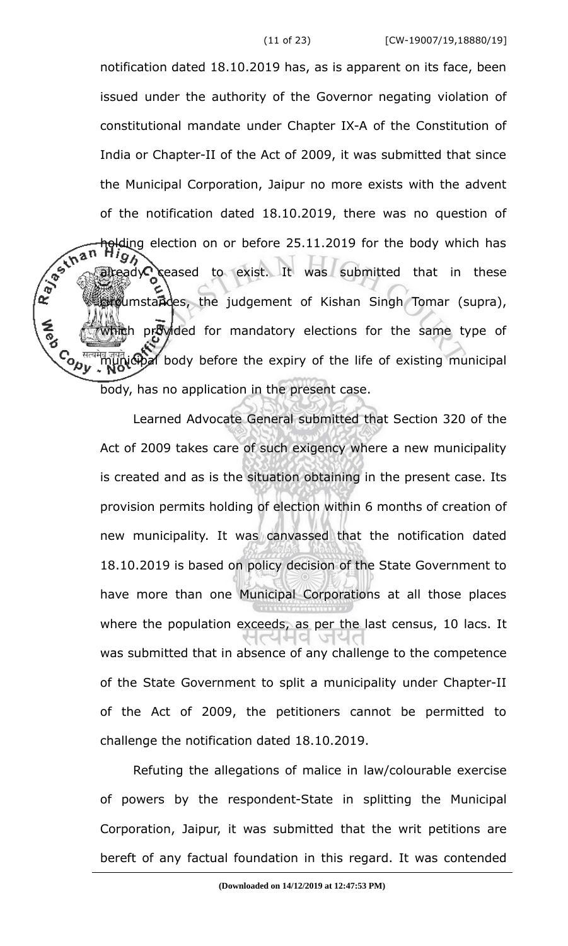notification dated 18.10.2019 has, as is apparent on its face, been issued under the authority of the Governor negating violation of constitutional mandate under Chapter IX-A of the Constitution of India or Chapter-II of the Act of 2009, it was submitted that since the Municipal Corporation, Jaipur no more exists with the advent of the notification dated 18.10.2019, there was no question of Ray Lina **polding** election on or before 25.11.2019 for the body which has  $\text{rad} \mathcal{L}$  ceased to exist. It was submitted that in these cumstandes, the judgement of Kishan Singh Tomar (supra), which provided for mandatory elections for the same type of **Cody** municipal body before the expiry of the life of existing municipal body, has no application in the present case.

> Learned Advocate General submitted that Section 320 of the Act of 2009 takes care of such exigency where a new municipality is created and as is the situation obtaining in the present case. Its provision permits holding of election within 6 months of creation of new municipality. It was canvassed that the notification dated 18.10.2019 is based on policy decision of the State Government to have more than one Municipal Corporations at all those places where the population exceeds, as per the last census, 10 lacs. It was submitted that in absence of any challenge to the competence of the State Government to split a municipality under Chapter-II of the Act of 2009, the petitioners cannot be permitted to challenge the notification dated 18.10.2019.

> Refuting the allegations of malice in law/colourable exercise of powers by the respondent-State in splitting the Municipal Corporation, Jaipur, it was submitted that the writ petitions are bereft of any factual foundation in this regard. It was contended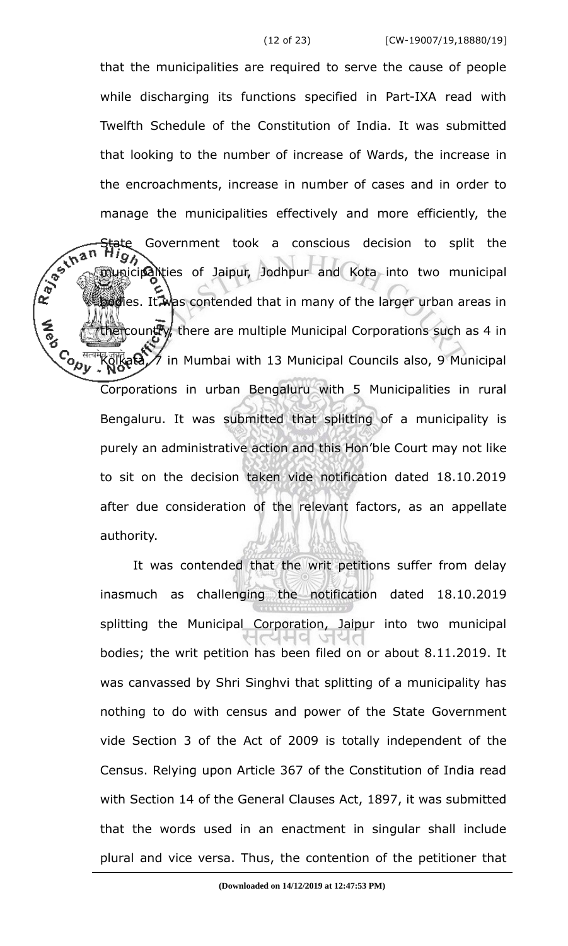that the municipalities are required to serve the cause of people while discharging its functions specified in Part-IXA read with Twelfth Schedule of the Constitution of India. It was submitted that looking to the number of increase of Wards, the increase in the encroachments, increase in number of cases and in order to manage the municipalities effectively and more efficiently, the R. Berthan Government took a conscious decision to split the 95 municipalities of Jaipur, Jodhpur and Kota into two municipal bodies. It was contended that in many of the larger urban areas in the country, there are multiple Municipal Corporations such as 4 in **Control**  $\mathbb{K}$ olkata,  $\mathcal{A}$  in Mumbai with 13 Municipal Councils also, 9 Municipal Corporations in urban Bengaluru with 5 Municipalities in rural Bengaluru. It was submitted that splitting of a municipality is purely an administrative action and this Hon'ble Court may not like to sit on the decision taken vide notification dated 18.10.2019 after due consideration of the relevant factors, as an appellate authority.

> It was contended that the writ petitions suffer from delay inasmuch as challenging the notification dated 18.10.2019 splitting the Municipal Corporation, Jaipur into two municipal bodies; the writ petition has been filed on or about 8.11.2019. It was canvassed by Shri Singhvi that splitting of a municipality has nothing to do with census and power of the State Government vide Section 3 of the Act of 2009 is totally independent of the Census. Relying upon Article 367 of the Constitution of India read with Section 14 of the General Clauses Act, 1897, it was submitted that the words used in an enactment in singular shall include plural and vice versa. Thus, the contention of the petitioner that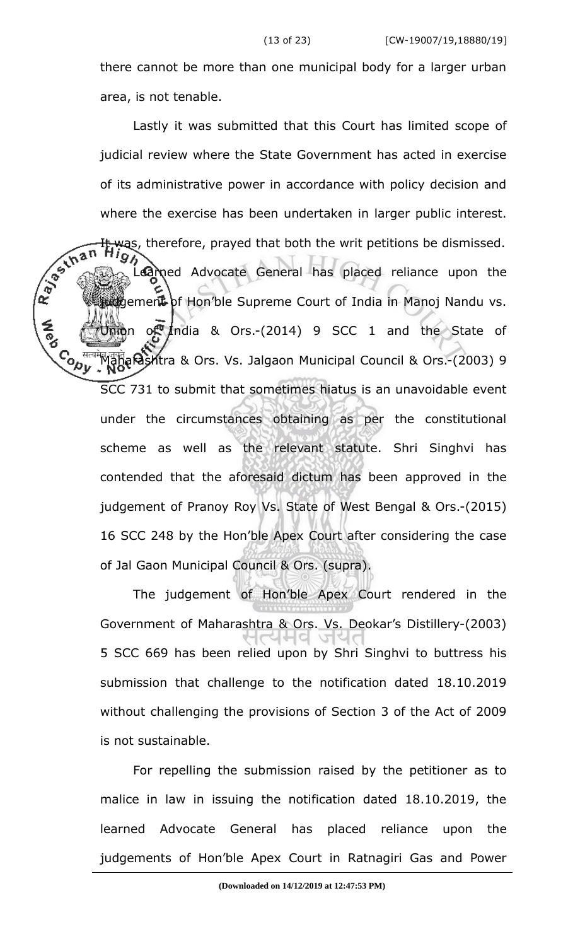there cannot be more than one municipal body for a larger urban area, is not tenable.

Lastly it was submitted that this Court has limited scope of judicial review where the State Government has acted in exercise of its administrative power in accordance with policy decision and where the exercise has been undertaken in larger public interest. R. Bechan was, therefore, prayed that both the writ petitions be dismissed. Learned Advocate General has placed reliance upon the udgement of Hon'ble Supreme Court of India in Manoj Nandu vs.  $J$   $\mathbb{R}$   $\mathbb{R}$   $\mathbb{R}$   $\mathbb{R}$  and  $\mathbb{R}$   $\mathbb{R}$   $\mathbb{R}$   $\mathbb{R}$   $\mathbb{R}$   $\mathbb{R}$   $\mathbb{R}$   $\mathbb{R}$   $\mathbb{R}$   $\mathbb{R}$   $\mathbb{R}$   $\mathbb{R}$   $\mathbb{R}$   $\mathbb{R}$   $\mathbb{R}$   $\mathbb{R}$   $\mathbb{R}$   $\mathbb{R}$   $\mathbb{R}$   $\mathbb{R$ Co <sup>सल</sup><br>√୧⁄୧ Maharashtra & Ors. Vs. Jalgaon Municipal Council & Ors.-(2003) 9 SCC 731 to submit that sometimes hiatus is an unavoidable event under the circumstances obtaining as per the constitutional scheme as well as the relevant statute. Shri Singhvi has contended that the aforesaid dictum has been approved in the judgement of Pranoy Roy Vs. State of West Bengal & Ors.-(2015) 16 SCC 248 by the Hon'ble Apex Court after considering the case of Jal Gaon Municipal Council & Ors. (supra).

> The judgement of Hon'ble Apex Court rendered in the Government of Maharashtra & Ors. Vs. Deokar's Distillery-(2003) 5 SCC 669 has been relied upon by Shri Singhvi to buttress his submission that challenge to the notification dated 18.10.2019 without challenging the provisions of Section 3 of the Act of 2009 is not sustainable.

> For repelling the submission raised by the petitioner as to malice in law in issuing the notification dated 18.10.2019, the learned Advocate General has placed reliance upon the judgements of Hon'ble Apex Court in Ratnagiri Gas and Power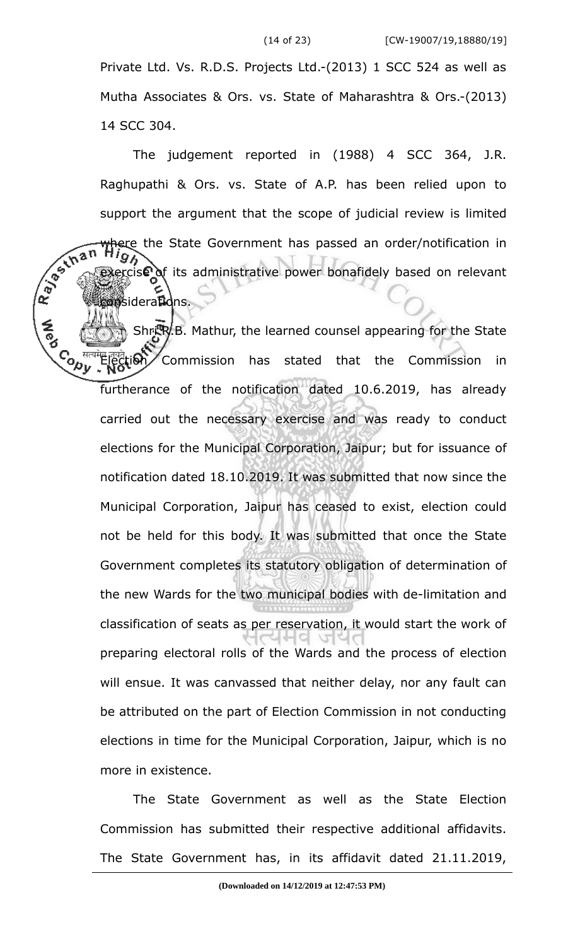Private Ltd. Vs. R.D.S. Projects Ltd.-(2013) 1 SCC 524 as well as Mutha Associates & Ors. vs. State of Maharashtra & Ors.-(2013) 14 SCC 304.

The judgement reported in (1988) 4 SCC 364, J.R. Raghupathi & Ors. vs. State of A.P. has been relied upon to support the argument that the scope of judicial review is limited R. Bechan where the State Government has passed an order/notification in ercise of its administrative power bonafidely based on relevant **posiderations.** 

Shri.R.B. Mathur, the learned counsel appearing for the State **Control** ection Commission has stated that the Commission in furtherance of the notification dated 10.6.2019, has already carried out the necessary exercise and was ready to conduct elections for the Municipal Corporation, Jaipur; but for issuance of notification dated 18.10.2019. It was submitted that now since the Municipal Corporation, Jaipur has ceased to exist, election could not be held for this body. It was submitted that once the State Government completes its statutory obligation of determination of the new Wards for the two municipal bodies with de-limitation and classification of seats as per reservation, it would start the work of preparing electoral rolls of the Wards and the process of election will ensue. It was canvassed that neither delay, nor any fault can be attributed on the part of Election Commission in not conducting elections in time for the Municipal Corporation, Jaipur, which is no more in existence.

The State Government as well as the State Election Commission has submitted their respective additional affidavits. The State Government has, in its affidavit dated 21.11.2019,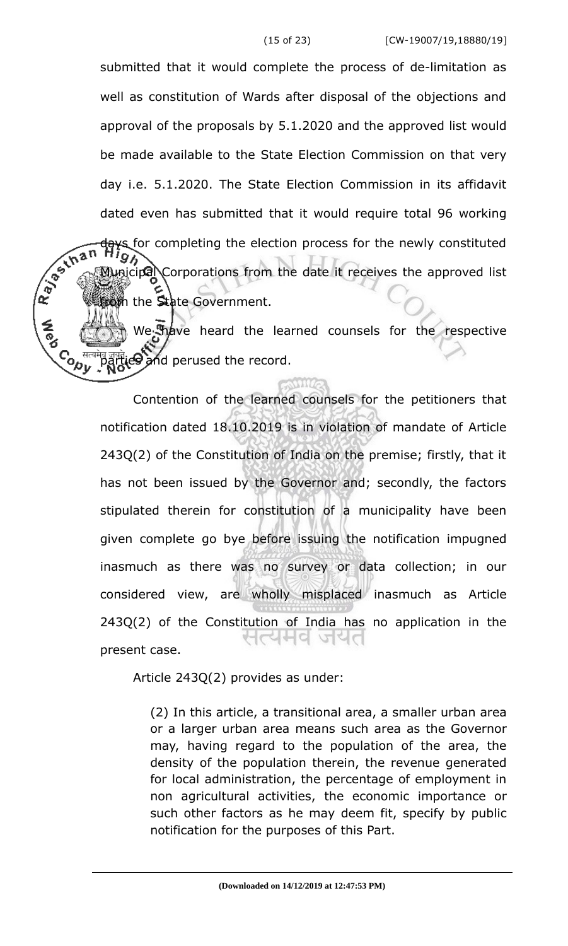submitted that it would complete the process of de-limitation as well as constitution of Wards after disposal of the objections and approval of the proposals by 5.1.2020 and the approved list would be made available to the State Election Commission on that very day i.e. 5.1.2020. The State Election Commission in its affidavit dated even has submitted that it would require total 96 working R. Bechan days for completing the election process for the newly constituted<br>High Municipal Corporations from the date it receives the approved list from the State Government.

We have heard the learned counsels for the respective C<sub>O <sup>सत</sup><br>Nu</sub> and perused the record.

> Contention of the learned counsels for the petitioners that notification dated 18.10.2019 is in violation of mandate of Article 243Q(2) of the Constitution of India on the premise; firstly, that it has not been issued by the Governor and; secondly, the factors stipulated therein for constitution of a municipality have been given complete go bye before issuing the notification impugned inasmuch as there was no survey or data collection; in our considered view, are wholly misplaced inasmuch as Article 243Q(2) of the Constitution of India has no application in the 시스러리 시리다 present case.

Article 243Q(2) provides as under:

(2) In this article, a transitional area, a smaller urban area or a larger urban area means such area as the Governor may, having regard to the population of the area, the density of the population therein, the revenue generated for local administration, the percentage of employment in non agricultural activities, the economic importance or such other factors as he may deem fit, specify by public notification for the purposes of this Part.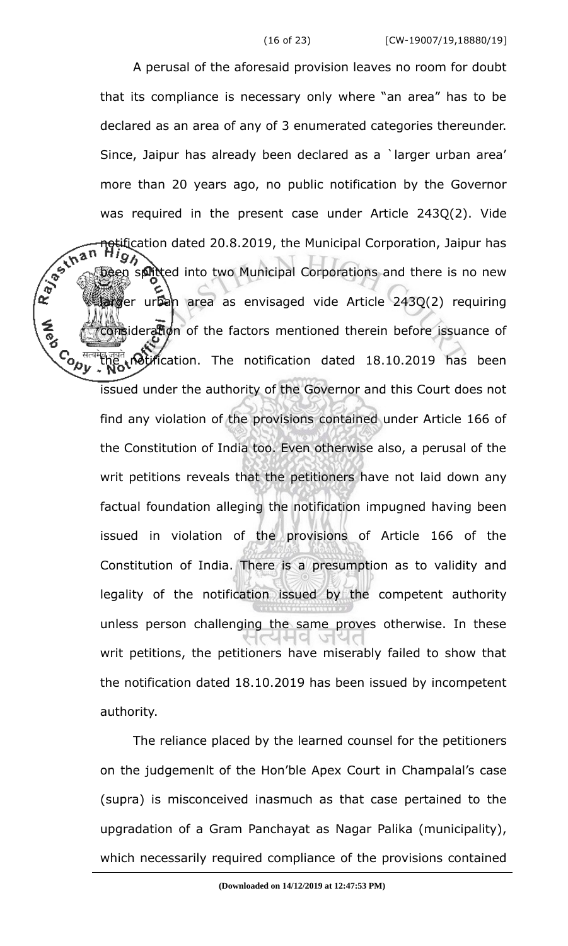A perusal of the aforesaid provision leaves no room for doubt that its compliance is necessary only where "an area" has to be declared as an area of any of 3 enumerated categories thereunder. Since, Jaipur has already been declared as a `larger urban area' more than 20 years ago, no public notification by the Governor was required in the present case under Article 243Q(2). Vide R. Januar notification dated 20.8.2019, the Municipal Corporation, Jaipur has en splitted into two Municipal Corporations and there is no new arger urban area as envisaged vide Article 243Q(2) requiring consideration of the factors mentioned therein before issuance of **Control** the <sub>notifi</sub>cation. The notification dated 18.10.2019 has been issued under the authority of the Governor and this Court does not find any violation of the provisions contained under Article 166 of the Constitution of India too. Even otherwise also, a perusal of the writ petitions reveals that the petitioners have not laid down any factual foundation alleging the notification impugned having been issued in violation of the provisions of Article 166 of the Constitution of India. There is a presumption as to validity and legality of the notification issued by the competent authority unless person challenging the same proves otherwise. In these writ petitions, the petitioners have miserably failed to show that the notification dated 18.10.2019 has been issued by incompetent authority.

> The reliance placed by the learned counsel for the petitioners on the judgemenlt of the Hon'ble Apex Court in Champalal's case (supra) is misconceived inasmuch as that case pertained to the upgradation of a Gram Panchayat as Nagar Palika (municipality), which necessarily required compliance of the provisions contained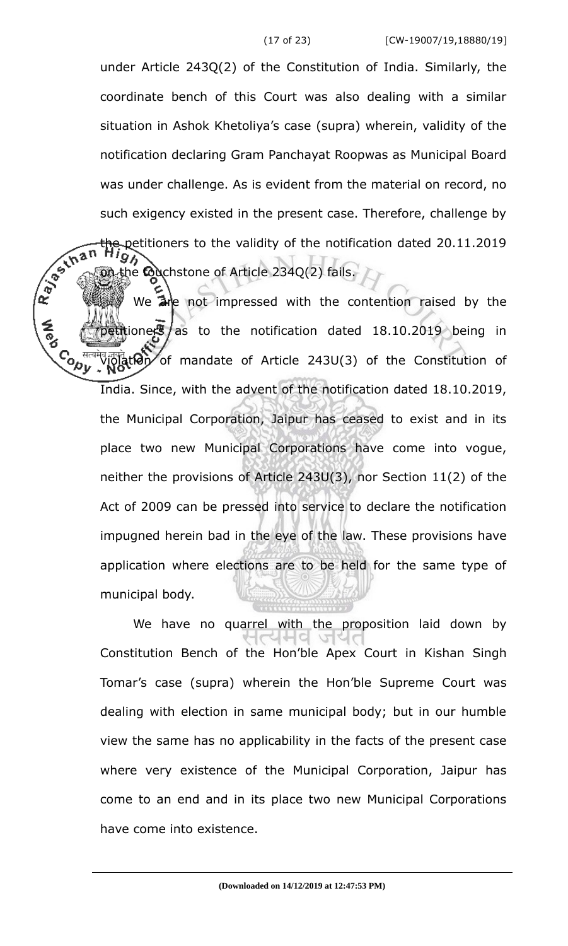under Article 243Q(2) of the Constitution of India. Similarly, the coordinate bench of this Court was also dealing with a similar situation in Ashok Khetoliya's case (supra) wherein, validity of the notification declaring Gram Panchayat Roopwas as Municipal Board was under challenge. As is evident from the material on record, no such exigency existed in the present case. Therefore, challenge by the petitioners to the validity of the notification dated 20.11.2019 95 the touchstone of Article 234Q(2) fails.

Ray Lina We are not impressed with the contention raised by the petitioners as to the notification dated  $18.10.2019$  being in **Cody** <sup>id</sup>iolation of mandate of Article 243U(3) of the Constitution of India. Since, with the advent of the notification dated 18.10.2019, the Municipal Corporation, Jaipur has ceased to exist and in its place two new Municipal Corporations have come into vogue, neither the provisions of Article 243U(3), nor Section 11(2) of the Act of 2009 can be pressed into service to declare the notification impugned herein bad in the eye of the law. These provisions have application where elections are to be held for the same type of municipal body.

> We have no quarrel with the proposition laid down by Constitution Bench of the Hon'ble Apex Court in Kishan Singh Tomar's case (supra) wherein the Hon'ble Supreme Court was dealing with election in same municipal body; but in our humble view the same has no applicability in the facts of the present case where very existence of the Municipal Corporation, Jaipur has come to an end and in its place two new Municipal Corporations have come into existence.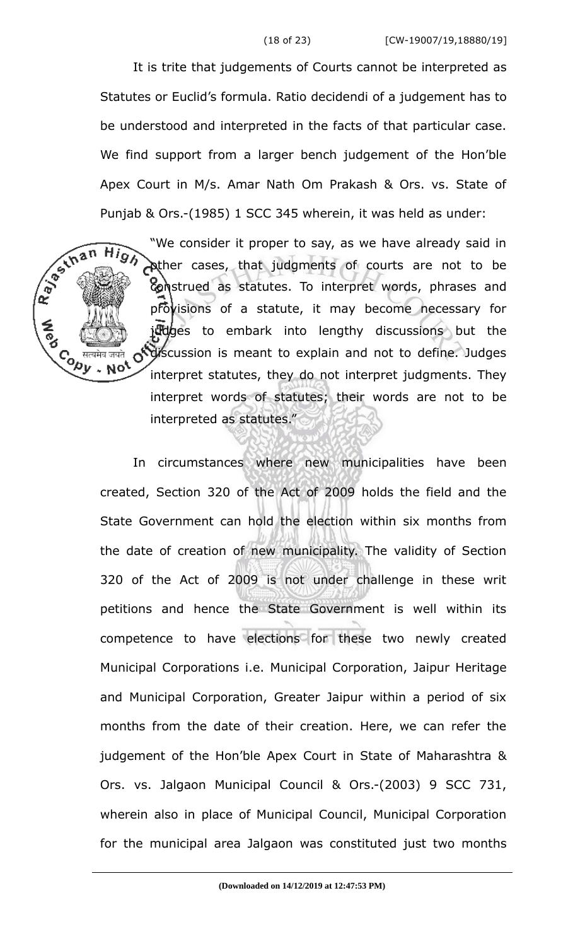It is trite that judgements of Courts cannot be interpreted as Statutes or Euclid's formula. Ratio decidendi of a judgement has to be understood and interpreted in the facts of that particular case. We find support from a larger bench judgement of the Hon'ble Apex Court in M/s. Amar Nath Om Prakash & Ors. vs. State of

 $Hig$ 

Punjab & Ors.-(1985) 1 SCC 345 wherein, it was held as under:<br>
We consider it proper to say, as we have already said<br>
We consider it proper to say, as we have already said<br>
Super cases, that judgments of courts are not<br>
S "We consider it proper to say, as we have already said in **Ather cases, that judgments of courts are not to be** construed as statutes. To interpret words, phrases and provisions of a statute, it may become necessary for judges to embark into lengthy discussions but the  $C_{\text{ob}}$   $\text{diag}$   $\text{diag}$   $\text{diag}$   $\text{diag}$   $\text{diag}$   $\text{diag}$   $\text{diag}$   $\text{diag}$   $\text{diag}$   $\text{diag}$   $\text{diag}$   $\text{diag}$   $\text{diag}$   $\text{diag}$   $\text{diag}$   $\text{diag}$   $\text{diag}$   $\text{diag}$   $\text{diag}$   $\text{diag}$   $\text{diag}$   $\text{diag}$   $\text{diag}$   $\text{diag}$   $\text{diag}$   $\text{diag}$   $\text$ interpret statutes, they do not interpret judgments. They interpret words of statutes; their words are not to be interpreted as statutes."

> In circumstances where new municipalities have been created, Section 320 of the Act of 2009 holds the field and the State Government can hold the election within six months from the date of creation of new municipality. The validity of Section 320 of the Act of 2009 is not under challenge in these writ petitions and hence the State Government is well within its competence to have elections for these two newly created Municipal Corporations i.e. Municipal Corporation, Jaipur Heritage and Municipal Corporation, Greater Jaipur within a period of six months from the date of their creation. Here, we can refer the judgement of the Hon'ble Apex Court in State of Maharashtra & Ors. vs. Jalgaon Municipal Council & Ors.-(2003) 9 SCC 731, wherein also in place of Municipal Council, Municipal Corporation for the municipal area Jalgaon was constituted just two months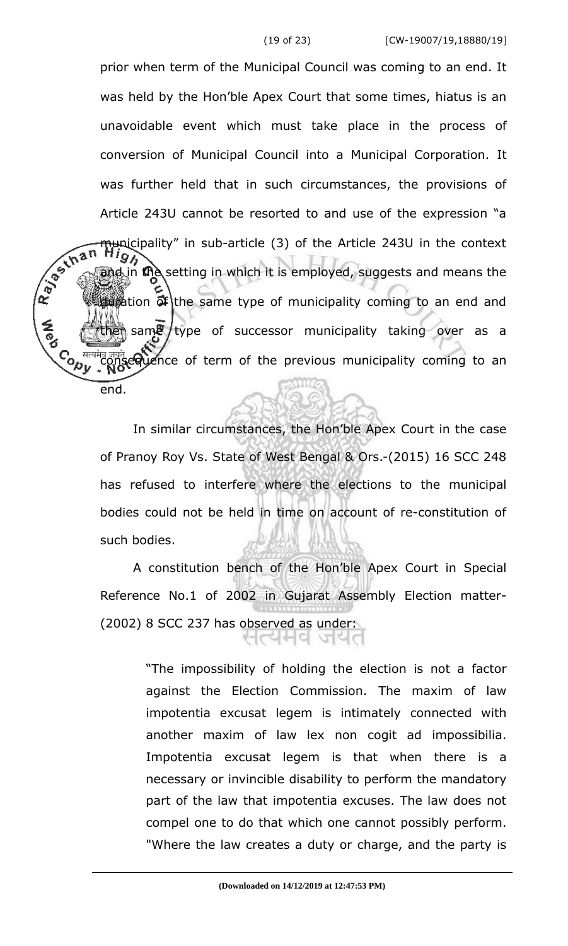prior when term of the Municipal Council was coming to an end. It was held by the Hon'ble Apex Court that some times, hiatus is an unavoidable event which must take place in the process of conversion of Municipal Council into a Municipal Corporation. It was further held that in such circumstances, the provisions of Article 243U cannot be resorted to and use of the expression "a R. Bechan municipality" in sub-article (3) of the Article 243U in the context  $\phi$  in the setting in which it is employed, suggests and means the dumation  $\tilde{\sigma}$  the same type of municipality coming to an end and  $\frac{1}{2}$  same type of successor municipality taking over as a Control equence of term of the previous municipality coming to an end.

> In similar circumstances, the Hon'ble Apex Court in the case of Pranoy Roy Vs. State of West Bengal & Ors.-(2015) 16 SCC 248 has refused to interfere where the elections to the municipal bodies could not be held in time on account of re-constitution of such bodies.

> A constitution bench of the Hon'ble Apex Court in Special Reference No.1 of 2002 in Gujarat Assembly Election matter- (2002) 8 SCC 237 has observed as under: CAHA ME

> > "The impossibility of holding the election is not a factor against the Election Commission. The maxim of law impotentia excusat legem is intimately connected with another maxim of law lex non cogit ad impossibilia. Impotentia excusat legem is that when there is a necessary or invincible disability to perform the mandatory part of the law that impotentia excuses. The law does not compel one to do that which one cannot possibly perform. "Where the law creates a duty or charge, and the party is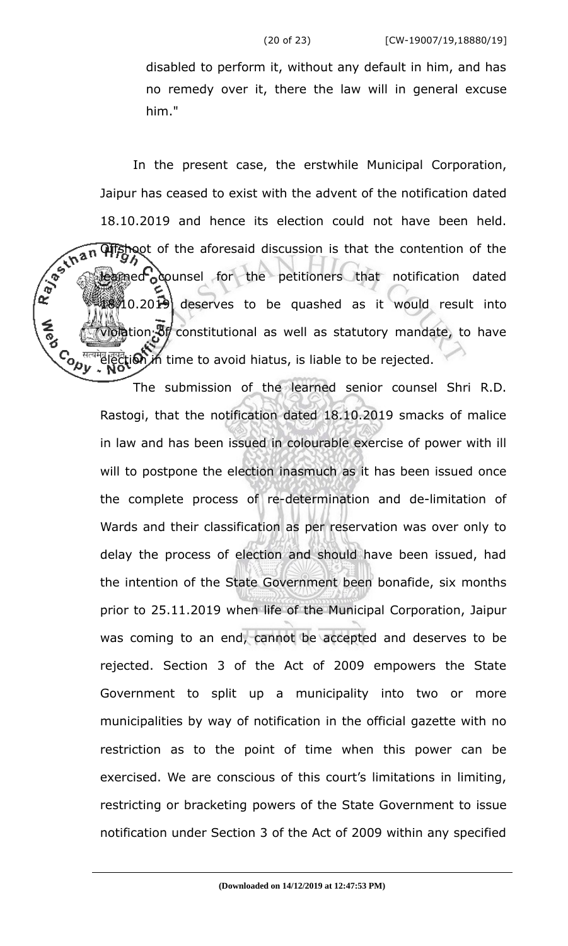disabled to perform it, without any default in him, and has no remedy over it, there the law will in general excuse him."

In the present case, the erstwhile Municipal Corporation, Jaipur has ceased to exist with the advent of the notification dated 18.10.2019 and hence its election could not have been held.<br>  $\sqrt{2}$ <br>  $\sqrt{12}$ <br>  $\sqrt{2}$ <br>  $\sqrt{3}$ <br>  $\sqrt{2}$ <br>  $\sqrt{3}$ <br>  $\sqrt{12}$ <br>  $\sqrt{12}$ <br>  $\sqrt{12}$ <br>  $\sqrt{12}$ <br>  $\sqrt{12}$ <br>  $\sqrt{12}$ <br>  $\sqrt{12}$ <br>  $\sqrt{12}$ <br>  $\sqrt{12}$ <br>  $\sqrt{12}$ <br>  $\sqrt{1$ **Offshoot** of the aforesaid discussion is that the contention of the med ocounsel for the petitioners that notification dated  $840.2019$  deserves to be quashed as it would result into  $\partial \phi$  tion  $\partial f$  constitutional as well as statutory mandate, to have ৾<br>ৼ৵ৼ election in time to avoid hiatus, is liable to be rejected.

> The submission of the learned senior counsel Shri R.D. Rastogi, that the notification dated 18.10.2019 smacks of malice in law and has been issued in colourable exercise of power with ill will to postpone the election inasmuch as it has been issued once the complete process of re-determination and de-limitation of Wards and their classification as per reservation was over only to delay the process of election and should have been issued, had the intention of the State Government been bonafide, six months prior to 25.11.2019 when life of the Municipal Corporation, Jaipur was coming to an end, cannot be accepted and deserves to be rejected. Section 3 of the Act of 2009 empowers the State Government to split up a municipality into two or more municipalities by way of notification in the official gazette with no restriction as to the point of time when this power can be exercised. We are conscious of this court's limitations in limiting, restricting or bracketing powers of the State Government to issue notification under Section 3 of the Act of 2009 within any specified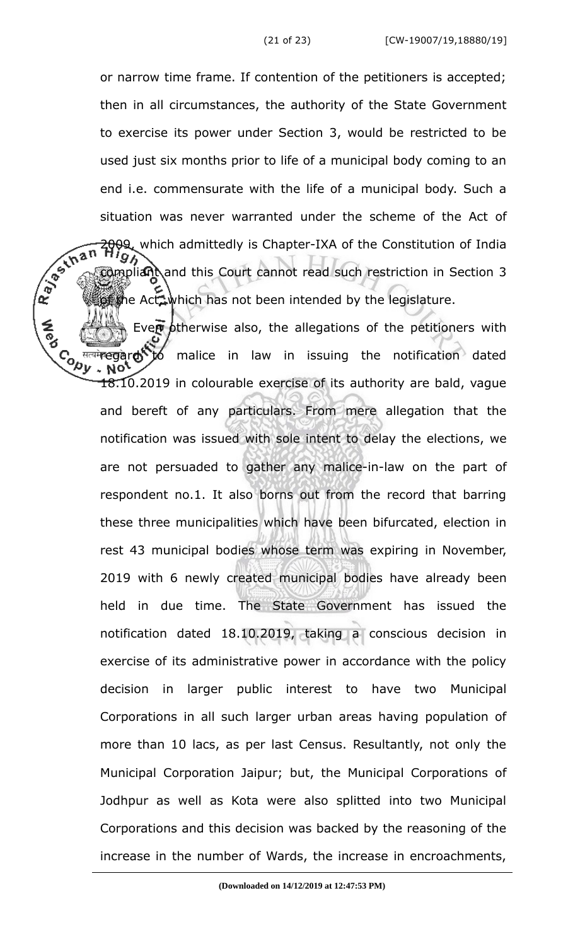or narrow time frame. If contention of the petitioners is accepted; then in all circumstances, the authority of the State Government to exercise its power under Section 3, would be restricted to be used just six months prior to life of a municipal body coming to an end i.e. commensurate with the life of a municipal body. Such a situation was never warranted under the scheme of the Act of<br>  $\sqrt{2}$ <br>  $\sqrt{3}$ <br>  $\sqrt{3}$ <br>  $\sqrt{3}$ <br>  $\sqrt{3}$ <br>  $\sqrt{3}$ <br>  $\sqrt{3}$ <br>  $\sqrt{3}$ <br>  $\sqrt{3}$ <br>  $\sqrt{3}$ <br>  $\sqrt{3}$ <br>  $\sqrt{3}$ <br>  $\sqrt{3}$ <br>  $\sqrt{3}$ <br>  $\sqrt{3}$ <br>  $\sqrt{3}$ <br>  $\sqrt{3}$ <br>  $\sqrt{3}$ 2009, which admittedly is Chapter-IXA of the Constitution of India compliant and this Court cannot read such restriction in Section 3 the Act, which has not been intended by the legislature.

Even ptherwise also, the allegations of the petitioners with **Conv** मत्यमे**regard to** malice in law in issuing the notification dated 18.10.2019 in colourable exercise of its authority are bald, vague and bereft of any particulars. From mere allegation that the notification was issued with sole intent to delay the elections, we are not persuaded to gather any malice-in-law on the part of respondent no.1. It also borns out from the record that barring these three municipalities which have been bifurcated, election in rest 43 municipal bodies whose term was expiring in November, 2019 with 6 newly created municipal bodies have already been held in due time. The State Government has issued the notification dated 18.10.2019, taking a conscious decision in exercise of its administrative power in accordance with the policy decision in larger public interest to have two Municipal Corporations in all such larger urban areas having population of more than 10 lacs, as per last Census. Resultantly, not only the Municipal Corporation Jaipur; but, the Municipal Corporations of Jodhpur as well as Kota were also splitted into two Municipal Corporations and this decision was backed by the reasoning of the increase in the number of Wards, the increase in encroachments,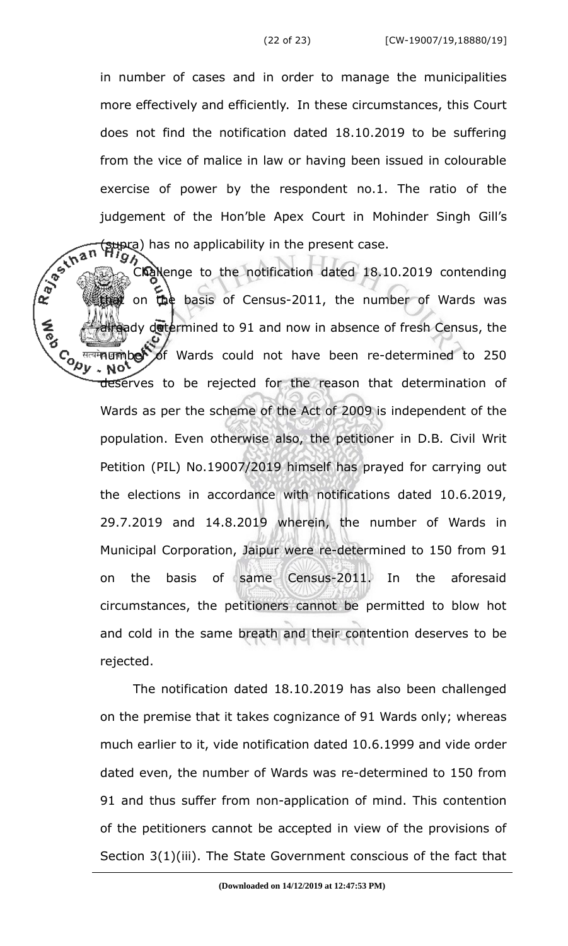in number of cases and in order to manage the municipalities more effectively and efficiently. In these circumstances, this Court does not find the notification dated 18.10.2019 to be suffering from the vice of malice in law or having been issued in colourable exercise of power by the respondent no.1. The ratio of the (supra) has no applicability in the present case.

judgement of the Hon'ble Apex Court in Mohinder Singh Gill's<br>  $\sqrt{\pi}$  ( $\pi$ ) has no applicability in the present case.<br>
Challenge to the notification dated 18.10.2016 Challenge to the notification dated 18.10.2019 contending that on the basis of Census-2011, the number of Wards was andy determined to 91 and now in absence of fresh Census, the **CONTE** nत्यमे**न प्राणे ber** of Wards could not have been re-determined to 250 deserves to be rejected for the reason that determination of Wards as per the scheme of the Act of 2009 is independent of the population. Even otherwise also, the petitioner in D.B. Civil Writ Petition (PIL) No.19007/2019 himself has prayed for carrying out the elections in accordance with notifications dated 10.6.2019, 29.7.2019 and 14.8.2019 wherein, the number of Wards in Municipal Corporation, Jaipur were re-determined to 150 from 91 on the basis of same Census-2011. In the aforesaid circumstances, the petitioners cannot be permitted to blow hot and cold in the same breath and their contention deserves to be rejected.

> The notification dated 18.10.2019 has also been challenged on the premise that it takes cognizance of 91 Wards only; whereas much earlier to it, vide notification dated 10.6.1999 and vide order dated even, the number of Wards was re-determined to 150 from 91 and thus suffer from non-application of mind. This contention of the petitioners cannot be accepted in view of the provisions of Section 3(1)(iii). The State Government conscious of the fact that